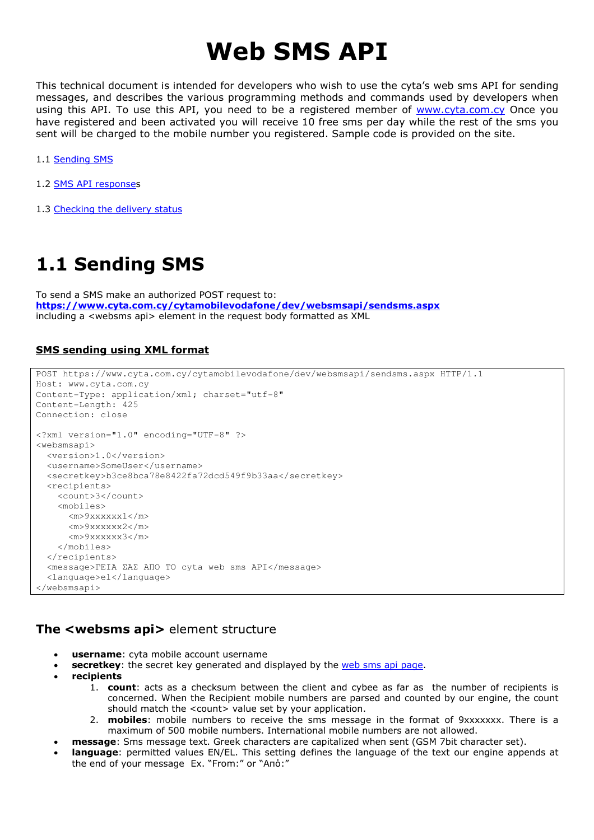# Web SMS API

This technical document is intended for developers who wish to use the cyta's web sms API for sending messages, and describes the various programming methods and commands used by developers when using this API. To use this API, you need to be a registered member of www.cyta.com.cy Once you have registered and been activated you will receive 10 free sms per day while the rest of the sms you sent will be charged to the mobile number you registered. Sample code is provided on the site.

- 1.1 Sending SMS
- 1.2 SMS API responses
- 1.3 Checking the delivery status

# 1.1 Sending SMS

To send a SMS make an authorized POST request to: https://www.cyta.com.cy/cytamobilevodafone/dev/websmsapi/sendsms.aspx including a <websms api> element in the request body formatted as XML

## SMS sending using XML format

```
POST https://www.cyta.com.cy/cytamobilevodafone/dev/websmsapi/sendsms.aspx HTTP/1.1 
Host: www.cyta.com.cy 
Content-Type: application/xml; charset="utf-8" 
Content-Length: 425 
Connection: close 
<?xml version="1.0" encoding="UTF-8" ?> 
<websmsapi> 
   <version>1.0</version> 
   <username>SomeUser</username> 
   <secretkey>b3ce8bca78e8422fa72dcd549f9b33aa</secretkey> 
   <recipients> 
     <count>3</count> 
     <mobiles> 
       <m>9xxxxxx1</m> 
       <m>9xxxxxx2</m> 
       <m>9xxxxxx3</m> 
     </mobiles> 
   </recipients> 
   <message>ΓΕΙΑ ΣΑΣ ΑΠΟ ΤΟ cyta web sms API</message> 
   <language>el</language> 
</websmsapi>
```
# The <websms api> element structure

- username: cyta mobile account username
	- **secretkey**: the secret key generated and displayed by the web sms api page.
- **recipients** 
	- 1. count: acts as a checksum between the client and cybee as far as the number of recipients is concerned. When the Recipient mobile numbers are parsed and counted by our engine, the count should match the <count> value set by your application.
	- 2. **mobiles**: mobile numbers to receive the sms message in the format of 9xxxxxxx. There is a maximum of 500 mobile numbers. International mobile numbers are not allowed.
- message: Sms message text. Greek characters are capitalized when sent (GSM 7bit character set).
- language: permitted values EN/EL. This setting defines the language of the text our engine appends at the end of your message Ex. "From:" or "Από:"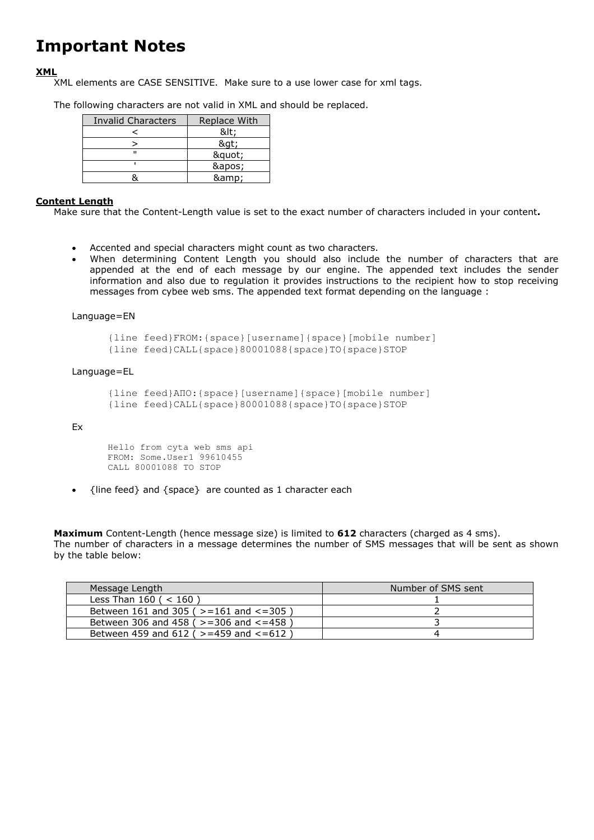# Important Notes

### XML

XML elements are CASE SENSITIVE. Make sure to a use lower case for xml tags.

The following characters are not valid in XML and should be replaced.

| Invalid Characters | Replace With |
|--------------------|--------------|
|                    | <:           |
|                    | >            |
| п                  | "            |
|                    | '            |
|                    | &            |

### Content Length

Make sure that the Content-Length value is set to the exact number of characters included in your content.

- Accented and special characters might count as two characters.
- When determining Content Length you should also include the number of characters that are appended at the end of each message by our engine. The appended text includes the sender information and also due to regulation it provides instructions to the recipient how to stop receiving messages from cybee web sms. The appended text format depending on the language :

#### Language=EN

{line feed}FROM:{space}[username]{space}[mobile number] {line feed}CALL{space}80001088{space}TO{space}STOP

#### Language=EL

```
{line feed}ΑΠΟ:{space}[username]{space}[mobile number] 
{line feed}CALL{space}80001088{space}TO{space}STOP
```
#### Ex

```
Hello from cyta web sms api 
FROM: Some.User1 99610455 
CALL 80001088 TO STOP
```
• {line feed} and {space} are counted as 1 character each

Maximum Content-Length (hence message size) is limited to 612 characters (charged as 4 sms). The number of characters in a message determines the number of SMS messages that will be sent as shown by the table below:

| Message Length                                  | Number of SMS sent |
|-------------------------------------------------|--------------------|
| Less Than $160$ ( < $160$ )                     |                    |
| Between 161 and 305 ( $> = 161$ and $< = 305$ ) |                    |
| Between 306 and 458 ( $> = 306$ and $< = 458$ ) |                    |
| Between 459 and 612 ( >=459 and <=612)          |                    |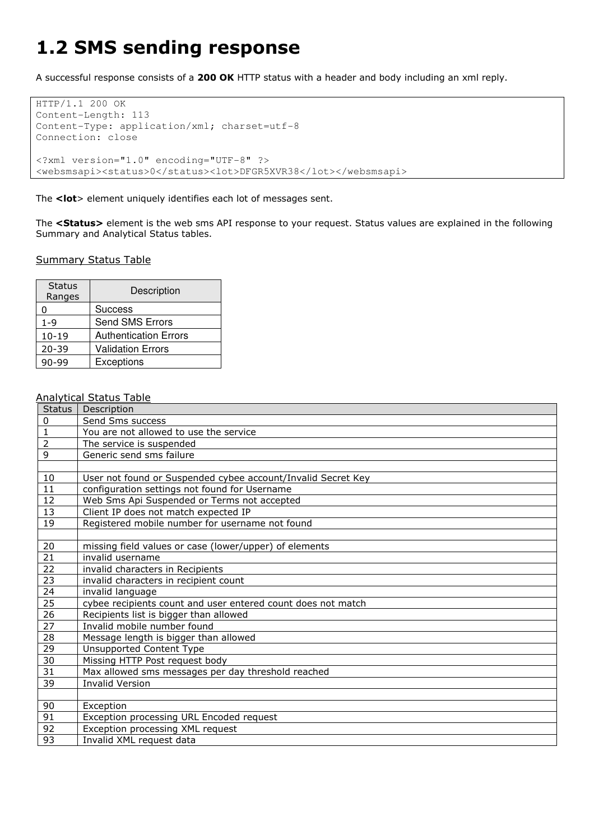# 1.2 SMS sending response

A successful response consists of a 200 OK HTTP status with a header and body including an xml reply.

```
HTTP/1.1 200 OK 
Content-Length: 113 
Content-Type: application/xml; charset=utf-8 
Connection: close 
<?xml version="1.0" encoding="UTF-8" ?> 
<websmsapi><status>0</status><lot>DFGR5XVR38</lot></websmsapi>
```
The <lot> element uniquely identifies each lot of messages sent.

The <Status> element is the web sms API response to your request. Status values are explained in the following Summary and Analytical Status tables.

### Summary Status Table

| <b>Status</b><br>Ranges | Description                  |
|-------------------------|------------------------------|
| 0                       | <b>Success</b>               |
| $1 - 9$                 | Send SMS Errors              |
| $10 - 19$               | <b>Authentication Errors</b> |
| $20 - 39$               | Validation Errors            |
| -99                     | Exceptions                   |

### Analytical Status Table

| <b>Status</b>   | Description                                                  |
|-----------------|--------------------------------------------------------------|
| 0               | Send Sms success                                             |
| $\mathbf{1}$    | You are not allowed to use the service                       |
| $\overline{2}$  | The service is suspended                                     |
| 9               | Generic send sms failure                                     |
|                 |                                                              |
| 10              | User not found or Suspended cybee account/Invalid Secret Key |
| 11              | configuration settings not found for Username                |
| 12              | Web Sms Api Suspended or Terms not accepted                  |
| 13              | Client IP does not match expected IP                         |
| 19              | Registered mobile number for username not found              |
|                 |                                                              |
| 20              | missing field values or case (lower/upper) of elements       |
| 21              | invalid username                                             |
| 22              | invalid characters in Recipients                             |
| 23              | invalid characters in recipient count                        |
| 24              | invalid language                                             |
| 25              | cybee recipients count and user entered count does not match |
| 26              | Recipients list is bigger than allowed                       |
| 27              | Invalid mobile number found                                  |
| 28              | Message length is bigger than allowed                        |
| 29              | <b>Unsupported Content Type</b>                              |
| 30              | Missing HTTP Post request body                               |
| $\overline{31}$ | Max allowed sms messages per day threshold reached           |
| 39              | <b>Invalid Version</b>                                       |
|                 |                                                              |
| 90              | Exception                                                    |
| 91              | Exception processing URL Encoded request                     |
| 92              | Exception processing XML request                             |
| 93              | Invalid XML request data                                     |